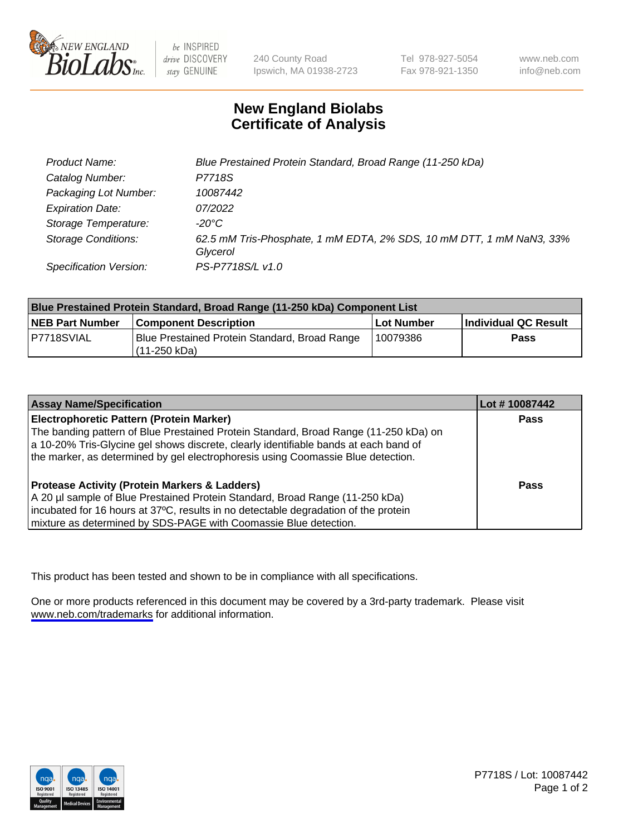

be INSPIRED drive DISCOVERY stay GENUINE

240 County Road Ipswich, MA 01938-2723 Tel 978-927-5054 Fax 978-921-1350

www.neb.com info@neb.com

## **New England Biolabs Certificate of Analysis**

| Product Name:                 | Blue Prestained Protein Standard, Broad Range (11-250 kDa)                       |
|-------------------------------|----------------------------------------------------------------------------------|
| Catalog Number:               | P7718S                                                                           |
| Packaging Lot Number:         | 10087442                                                                         |
| <b>Expiration Date:</b>       | 07/2022                                                                          |
| Storage Temperature:          | -20°C                                                                            |
| <b>Storage Conditions:</b>    | 62.5 mM Tris-Phosphate, 1 mM EDTA, 2% SDS, 10 mM DTT, 1 mM NaN3, 33%<br>Glycerol |
| <b>Specification Version:</b> | PS-P7718S/L v1.0                                                                 |

| <b>Blue Prestained Protein Standard, Broad Range (11-250 kDa) Component List</b> |                                                                 |              |                      |  |
|----------------------------------------------------------------------------------|-----------------------------------------------------------------|--------------|----------------------|--|
| <b>NEB Part Number</b>                                                           | <b>Component Description</b>                                    | l Lot Number | Individual QC Result |  |
| P7718SVIAL                                                                       | Blue Prestained Protein Standard, Broad Range<br>l (11-250 kDa) | 10079386     | <b>Pass</b>          |  |

| <b>Assay Name/Specification</b>                                                      | Lot #10087442 |
|--------------------------------------------------------------------------------------|---------------|
| <b>Electrophoretic Pattern (Protein Marker)</b>                                      | <b>Pass</b>   |
| The banding pattern of Blue Prestained Protein Standard, Broad Range (11-250 kDa) on |               |
| a 10-20% Tris-Glycine gel shows discrete, clearly identifiable bands at each band of |               |
| the marker, as determined by gel electrophoresis using Coomassie Blue detection.     |               |
|                                                                                      |               |
| <b>Protease Activity (Protein Markers &amp; Ladders)</b>                             | <b>Pass</b>   |
| A 20 µl sample of Blue Prestained Protein Standard, Broad Range (11-250 kDa)         |               |
| incubated for 16 hours at 37°C, results in no detectable degradation of the protein  |               |
| mixture as determined by SDS-PAGE with Coomassie Blue detection.                     |               |

This product has been tested and shown to be in compliance with all specifications.

One or more products referenced in this document may be covered by a 3rd-party trademark. Please visit <www.neb.com/trademarks>for additional information.